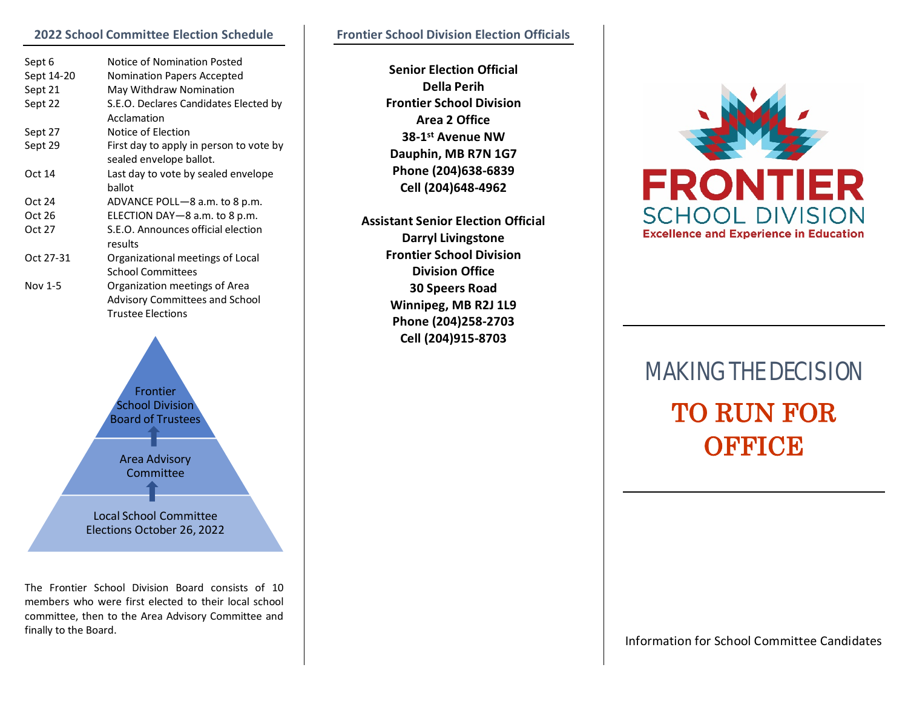#### **2022 School Committee Election Schedule**

| Sept 6     | Notice of Nomination Posted             |
|------------|-----------------------------------------|
| Sept 14-20 | <b>Nomination Papers Accepted</b>       |
| Sept 21    | May Withdraw Nomination                 |
| Sept 22    | S.E.O. Declares Candidates Elected by   |
|            | Acclamation                             |
| Sept 27    | Notice of Election                      |
| Sept 29    | First day to apply in person to vote by |
|            | sealed envelope ballot.                 |
| Oct 14     | Last day to vote by sealed envelope     |
|            | ballot                                  |
| Oct 24     | ADVANCE POLL-8 a.m. to 8 p.m.           |
| Oct 26     | ELECTION DAY-8 a.m. to 8 p.m.           |
| Oct 27     | S.E.O. Announces official election      |
|            | results                                 |
| Oct 27-31  | Organizational meetings of Local        |
|            | <b>School Committees</b>                |
| Nov 1-5    | Organization meetings of Area           |
|            | <b>Advisory Committees and School</b>   |
|            | <b>Trustee Elections</b>                |



The Frontier School Division Board consists of 10 members who were first elected to their local school committee, then to the Area Advisory Committee and finally to the Board.

**Senior Election Official Della Perih Frontier School Division Area 2 Office 38-1st Avenue NW Dauphin, MB R7N 1G7 Phone (204)638-6839 Cell (204)648-4962**

**Assistant Senior Election Official Darryl Livingstone Frontier School Division Division Office 30 Speers Road Winnipeg, MB R2J 1L9 Phone (204)258-2703 Cell (204)915-8703**



# MAKING THE DECISION TO RUN FOR **OFFICE**

Information for School Committee Candidates